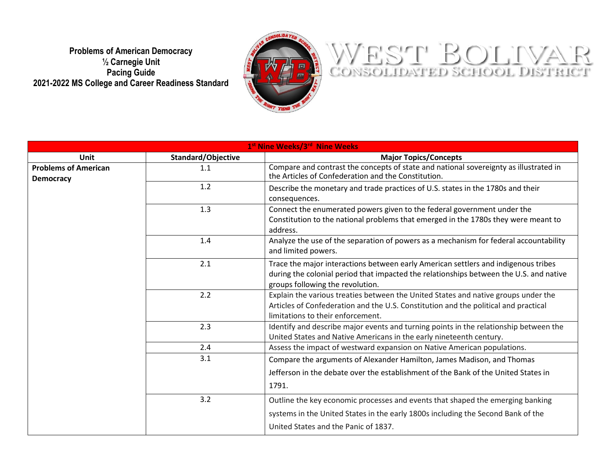**Problems of American Democracy ½ Carnegie Unit Pacing Guide 2021-2022 MS College and Career Readiness Standard**



## WEST BOLIVAR

| 1st Nine Weeks/3rd Nine Weeks                   |                    |                                                                                                                                              |  |
|-------------------------------------------------|--------------------|----------------------------------------------------------------------------------------------------------------------------------------------|--|
| Unit                                            | Standard/Objective | <b>Major Topics/Concepts</b>                                                                                                                 |  |
| <b>Problems of American</b><br><b>Democracy</b> | 1.1                | Compare and contrast the concepts of state and national sovereignty as illustrated in<br>the Articles of Confederation and the Constitution. |  |
|                                                 | 1.2                | Describe the monetary and trade practices of U.S. states in the 1780s and their                                                              |  |
|                                                 |                    | consequences.                                                                                                                                |  |
|                                                 | 1.3                | Connect the enumerated powers given to the federal government under the                                                                      |  |
|                                                 |                    | Constitution to the national problems that emerged in the 1780s they were meant to                                                           |  |
|                                                 |                    | address.                                                                                                                                     |  |
|                                                 | 1.4                | Analyze the use of the separation of powers as a mechanism for federal accountability                                                        |  |
|                                                 |                    | and limited powers.                                                                                                                          |  |
|                                                 | 2.1                | Trace the major interactions between early American settlers and indigenous tribes                                                           |  |
|                                                 |                    | during the colonial period that impacted the relationships between the U.S. and native                                                       |  |
|                                                 |                    | groups following the revolution.                                                                                                             |  |
|                                                 | 2.2                | Explain the various treaties between the United States and native groups under the                                                           |  |
|                                                 |                    | Articles of Confederation and the U.S. Constitution and the political and practical                                                          |  |
|                                                 |                    | limitations to their enforcement.                                                                                                            |  |
|                                                 | 2.3                | Identify and describe major events and turning points in the relationship between the                                                        |  |
|                                                 |                    | United States and Native Americans in the early nineteenth century.                                                                          |  |
|                                                 | 2.4                | Assess the impact of westward expansion on Native American populations.                                                                      |  |
|                                                 | 3.1                | Compare the arguments of Alexander Hamilton, James Madison, and Thomas                                                                       |  |
|                                                 |                    | Jefferson in the debate over the establishment of the Bank of the United States in                                                           |  |
|                                                 |                    | 1791.                                                                                                                                        |  |
|                                                 | 3.2                | Outline the key economic processes and events that shaped the emerging banking                                                               |  |
|                                                 |                    | systems in the United States in the early 1800s including the Second Bank of the                                                             |  |
|                                                 |                    | United States and the Panic of 1837.                                                                                                         |  |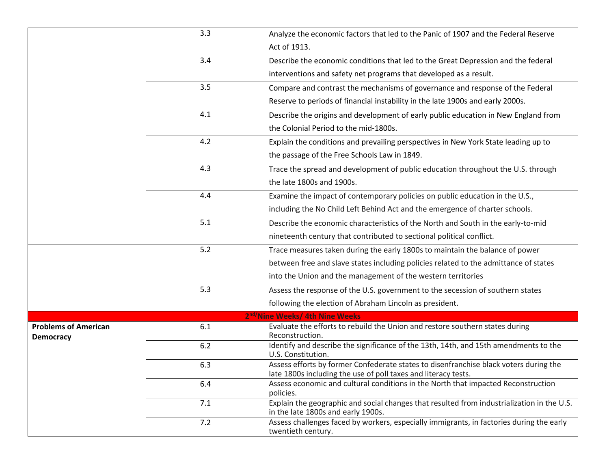|                                                 | 3.3   | Analyze the economic factors that led to the Panic of 1907 and the Federal Reserve                                                                      |
|-------------------------------------------------|-------|---------------------------------------------------------------------------------------------------------------------------------------------------------|
|                                                 |       | Act of 1913.                                                                                                                                            |
|                                                 | 3.4   | Describe the economic conditions that led to the Great Depression and the federal                                                                       |
|                                                 |       | interventions and safety net programs that developed as a result.                                                                                       |
|                                                 | 3.5   | Compare and contrast the mechanisms of governance and response of the Federal                                                                           |
|                                                 |       | Reserve to periods of financial instability in the late 1900s and early 2000s.                                                                          |
|                                                 | 4.1   | Describe the origins and development of early public education in New England from                                                                      |
|                                                 |       | the Colonial Period to the mid-1800s.                                                                                                                   |
|                                                 | 4.2   | Explain the conditions and prevailing perspectives in New York State leading up to                                                                      |
|                                                 |       | the passage of the Free Schools Law in 1849.                                                                                                            |
|                                                 | 4.3   | Trace the spread and development of public education throughout the U.S. through                                                                        |
|                                                 |       | the late 1800s and 1900s.                                                                                                                               |
|                                                 | 4.4   | Examine the impact of contemporary policies on public education in the U.S.,                                                                            |
|                                                 |       | including the No Child Left Behind Act and the emergence of charter schools.                                                                            |
|                                                 | 5.1   | Describe the economic characteristics of the North and South in the early-to-mid                                                                        |
|                                                 |       | nineteenth century that contributed to sectional political conflict.                                                                                    |
|                                                 | 5.2   | Trace measures taken during the early 1800s to maintain the balance of power                                                                            |
|                                                 |       | between free and slave states including policies related to the admittance of states                                                                    |
|                                                 |       | into the Union and the management of the western territories                                                                                            |
|                                                 | 5.3   | Assess the response of the U.S. government to the secession of southern states                                                                          |
|                                                 |       | following the election of Abraham Lincoln as president.                                                                                                 |
|                                                 |       | 2 <sup>nd/</sup> Nine Weeks/ 4th Nine Weeks                                                                                                             |
| <b>Problems of American</b><br><b>Democracy</b> | 6.1   | Evaluate the efforts to rebuild the Union and restore southern states during<br>Reconstruction.                                                         |
|                                                 | $6.2$ | Identify and describe the significance of the 13th, 14th, and 15th amendments to the<br>U.S. Constitution.                                              |
|                                                 | 6.3   | Assess efforts by former Confederate states to disenfranchise black voters during the<br>late 1800s including the use of poll taxes and literacy tests. |
|                                                 | 6.4   | Assess economic and cultural conditions in the North that impacted Reconstruction<br>policies.                                                          |
|                                                 | 7.1   | Explain the geographic and social changes that resulted from industrialization in the U.S.<br>in the late 1800s and early 1900s.                        |
|                                                 | 7.2   | Assess challenges faced by workers, especially immigrants, in factories during the early<br>twentieth century.                                          |